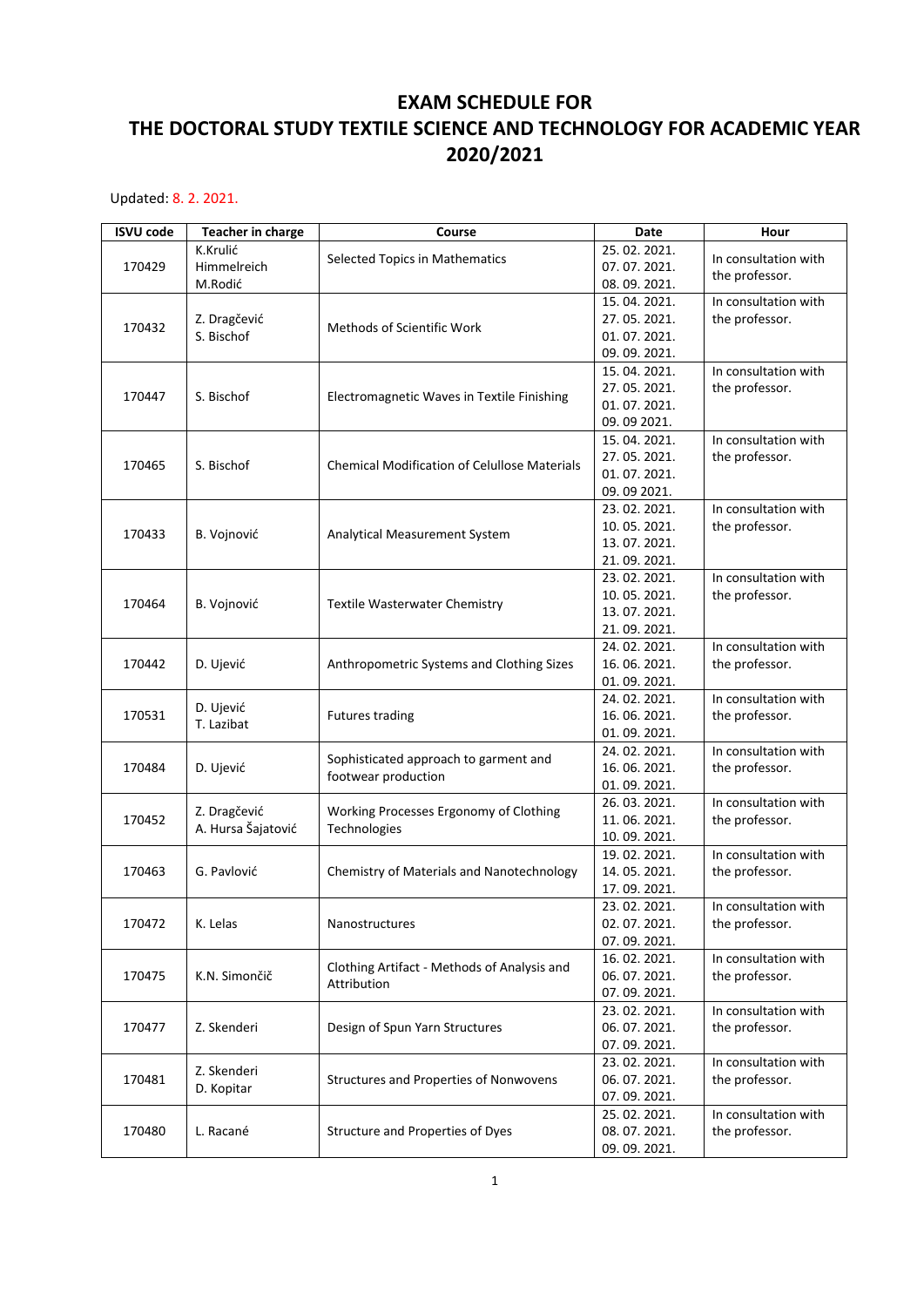## **EXAM SCHEDULE FOR THE DOCTORAL STUDY TEXTILE SCIENCE AND TECHNOLOGY FOR ACADEMIC YEAR 2020/2021**

Updated: 8. 2. 2021.

| <b>ISVU code</b> | <b>Teacher in charge</b>           | Course                                                       | Date        | Hour                 |
|------------------|------------------------------------|--------------------------------------------------------------|-------------|----------------------|
| 170429           | K.Krulić<br>Himmelreich            | Selected Topics in Mathematics                               | 25.02.2021. | In consultation with |
|                  |                                    |                                                              | 07.07.2021. | the professor.       |
|                  | M.Rodić                            |                                                              | 08.09.2021. |                      |
|                  |                                    |                                                              | 15.04.2021. | In consultation with |
| 170432           | Z. Dragčević                       | Methods of Scientific Work                                   | 27.05.2021. | the professor.       |
|                  | S. Bischof                         |                                                              | 01.07.2021. |                      |
|                  |                                    |                                                              | 09.09.2021. |                      |
|                  | S. Bischof                         | Electromagnetic Waves in Textile Finishing                   | 15.04.2021. | In consultation with |
| 170447           |                                    |                                                              | 27.05.2021. | the professor.       |
|                  |                                    |                                                              | 01.07.2021. |                      |
|                  |                                    |                                                              | 09.09 2021. |                      |
|                  |                                    | <b>Chemical Modification of Celullose Materials</b>          | 15.04.2021. | In consultation with |
| 170465           | S. Bischof                         |                                                              | 27.05.2021. | the professor.       |
|                  |                                    |                                                              | 01.07.2021. |                      |
|                  |                                    |                                                              | 09.09 2021. |                      |
|                  |                                    | Analytical Measurement System                                | 23.02.2021. | In consultation with |
| 170433           | B. Vojnović                        |                                                              | 10.05.2021. | the professor.       |
|                  |                                    |                                                              | 13.07.2021. |                      |
|                  |                                    |                                                              | 21.09.2021. |                      |
|                  |                                    |                                                              | 23.02.2021. | In consultation with |
| 170464           | B. Vojnović                        | Textile Wasterwater Chemistry                                | 10.05.2021. | the professor.       |
|                  |                                    |                                                              | 13.07.2021. |                      |
|                  |                                    |                                                              | 21.09.2021. |                      |
|                  |                                    |                                                              | 24.02.2021. | In consultation with |
| 170442           | D. Ujević                          | Anthropometric Systems and Clothing Sizes                    | 16.06.2021. | the professor.       |
|                  |                                    |                                                              | 01.09.2021. |                      |
|                  | D. Ujević                          |                                                              | 24.02.2021. | In consultation with |
| 170531           | T. Lazibat                         | <b>Futures trading</b>                                       | 16.06.2021. | the professor.       |
|                  |                                    |                                                              | 01.09.2021. |                      |
|                  | D. Ujević                          | Sophisticated approach to garment and<br>footwear production | 24.02.2021. | In consultation with |
| 170484           |                                    |                                                              | 16.06.2021. | the professor.       |
|                  |                                    |                                                              | 01.09.2021. |                      |
|                  | Z. Dragčević<br>A. Hursa Šajatović | Working Processes Ergonomy of Clothing                       | 26.03.2021. | In consultation with |
| 170452           |                                    | Technologies                                                 | 11.06.2021. | the professor.       |
|                  |                                    |                                                              | 10.09.2021. |                      |
|                  | G. Pavlović                        | Chemistry of Materials and Nanotechnology                    | 19.02.2021. | In consultation with |
| 170463           |                                    |                                                              | 14.05.2021. | the professor.       |
|                  |                                    |                                                              | 17.09.2021. |                      |
|                  | K. Lelas                           | Nanostructures                                               | 23.02.2021. | In consultation with |
| 170472           |                                    |                                                              | 02.07.2021. | the professor.       |
|                  |                                    |                                                              | 07.09.2021. |                      |
|                  |                                    | Clothing Artifact - Methods of Analysis and<br>Attribution   | 16.02.2021. | In consultation with |
| 170475           | K.N. Simončič                      |                                                              | 06.07.2021. | the professor.       |
|                  |                                    |                                                              | 07.09.2021. |                      |
| 170477           | Z. Skenderi                        | Design of Spun Yarn Structures                               | 23.02.2021. | In consultation with |
|                  |                                    |                                                              | 06.07.2021. | the professor.       |
|                  |                                    |                                                              | 07.09.2021. |                      |
| 170481           | Z. Skenderi<br>D. Kopitar          | Structures and Properties of Nonwovens                       | 23.02.2021. | In consultation with |
|                  |                                    |                                                              | 06.07.2021. | the professor.       |
|                  |                                    |                                                              | 07.09.2021. |                      |
| 170480           |                                    | Structure and Properties of Dyes                             | 25.02.2021. | In consultation with |
|                  | L. Racané                          |                                                              | 08.07.2021. | the professor.       |
|                  |                                    |                                                              | 09.09.2021. |                      |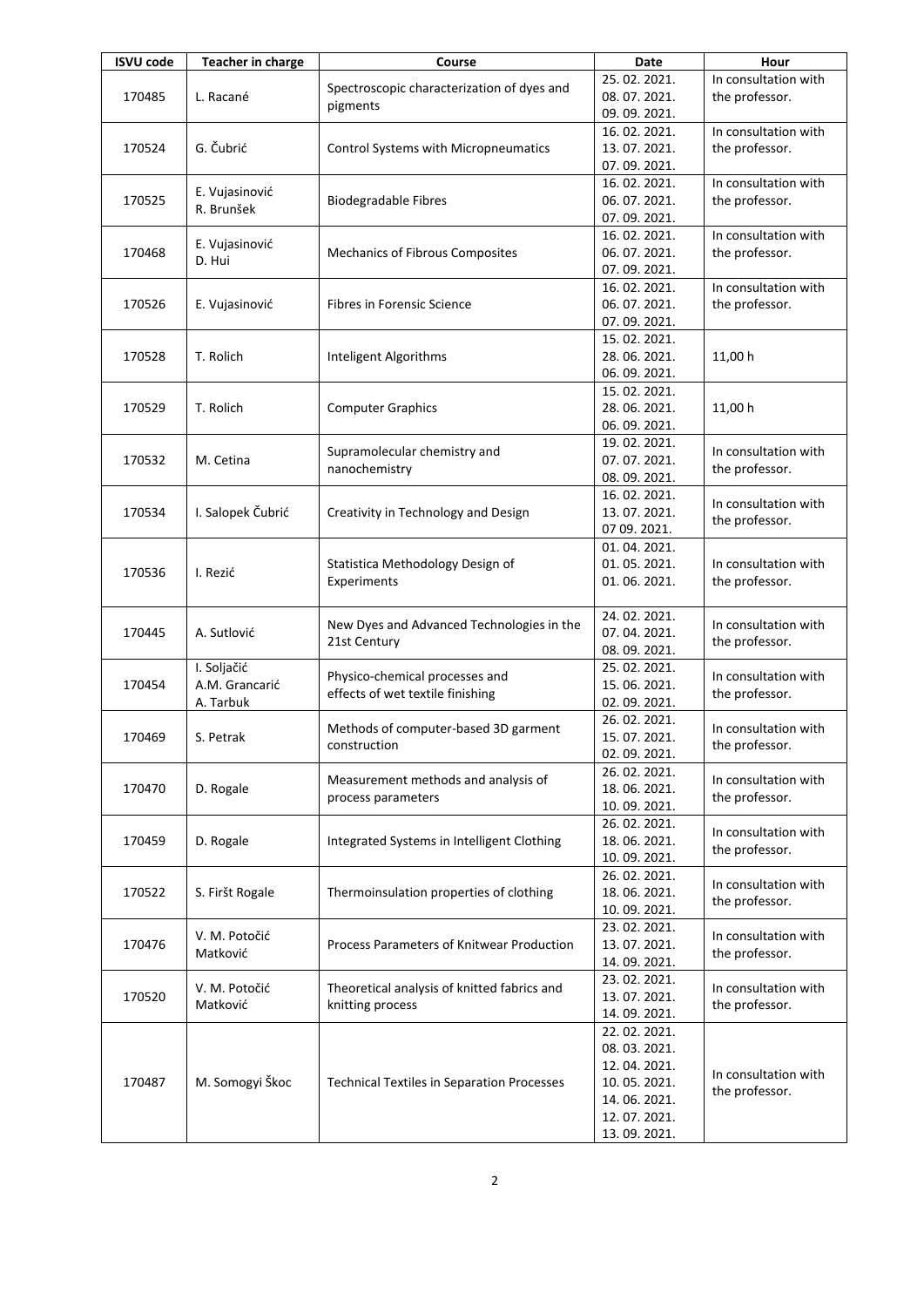| <b>ISVU code</b> | <b>Teacher in charge</b>                   | Course                                                                                                       | Date                       | Hour                                   |
|------------------|--------------------------------------------|--------------------------------------------------------------------------------------------------------------|----------------------------|----------------------------------------|
|                  |                                            | Spectroscopic characterization of dyes and                                                                   | 25.02.2021.                | In consultation with                   |
| 170485           | L. Racané                                  |                                                                                                              | 08.07.2021.                | the professor.                         |
|                  |                                            | pigments                                                                                                     | 09.09.2021.                |                                        |
|                  |                                            |                                                                                                              | 16.02.2021.                | In consultation with                   |
| 170524           | G. Čubrić                                  | Control Systems with Micropneumatics                                                                         | 13.07.2021.                | the professor.                         |
|                  |                                            |                                                                                                              | 07.09.2021.                |                                        |
|                  |                                            |                                                                                                              | 16.02.2021.                | In consultation with                   |
| 170525           | E. Vujasinović                             | <b>Biodegradable Fibres</b>                                                                                  | 06.07.2021.                | the professor.                         |
|                  | R. Brunšek                                 |                                                                                                              | 07.09.2021.                |                                        |
|                  |                                            |                                                                                                              | 16.02.2021.                | In consultation with                   |
| 170468           | E. Vujasinović                             | Mechanics of Fibrous Composites                                                                              | 06.07.2021.                | the professor.                         |
|                  | D. Hui                                     |                                                                                                              | 07.09.2021.                |                                        |
|                  | E. Vujasinović                             | Fibres in Forensic Science                                                                                   | 16.02.2021.                | In consultation with                   |
| 170526           |                                            |                                                                                                              | 06.07.2021.                | the professor.                         |
|                  |                                            |                                                                                                              | 07.09.2021.                |                                        |
|                  |                                            | Inteligent Algorithms                                                                                        | 15.02.2021.                |                                        |
| 170528           | T. Rolich                                  |                                                                                                              | 28.06.2021.                | 11,00 h                                |
|                  |                                            |                                                                                                              |                            |                                        |
|                  |                                            |                                                                                                              | 06.09.2021.                |                                        |
|                  |                                            |                                                                                                              | 15.02.2021.                |                                        |
| 170529           | T. Rolich                                  | <b>Computer Graphics</b>                                                                                     | 28.06.2021.                | 11,00 h                                |
|                  |                                            |                                                                                                              | 06.09.2021.                |                                        |
|                  |                                            | Supramolecular chemistry and                                                                                 | 19.02.2021.                | In consultation with                   |
| 170532           | M. Cetina                                  | nanochemistry                                                                                                | 07.07.2021.                | the professor.                         |
|                  |                                            |                                                                                                              | 08.09.2021.                |                                        |
|                  |                                            |                                                                                                              | 16.02.2021.                | In consultation with                   |
| 170534           | I. Salopek Čubrić                          | Creativity in Technology and Design                                                                          | 13.07.2021.                | the professor.                         |
|                  |                                            |                                                                                                              | 07 09. 2021.               |                                        |
|                  |                                            |                                                                                                              | 01.04.2021.                | In consultation with<br>the professor. |
|                  | I. Rezić                                   | Statistica Methodology Design of                                                                             | 01.05.2021.                |                                        |
| 170536           |                                            | Experiments                                                                                                  | 01.06.2021.                |                                        |
|                  |                                            |                                                                                                              |                            |                                        |
|                  | A. Sutlović                                | New Dyes and Advanced Technologies in the                                                                    | 24.02.2021.                | In consultation with                   |
| 170445           |                                            |                                                                                                              | 07.04.2021.                |                                        |
|                  |                                            | 21st Century                                                                                                 | 08.09.2021.                | the professor.                         |
|                  | I. Soljačić<br>A.M. Grancarić<br>A. Tarbuk |                                                                                                              | 25.02.2021.                | In consultation with<br>the professor. |
| 170454           |                                            | Physico-chemical processes and                                                                               | 15.06.2021.                |                                        |
|                  |                                            | effects of wet textile finishing                                                                             | 02.09.2021.                |                                        |
|                  |                                            |                                                                                                              | 26.02.2021.                | In consultation with<br>the professor. |
| 170469           | S. Petrak                                  | Methods of computer-based 3D garment<br>construction                                                         | 15.07.2021.                |                                        |
|                  |                                            |                                                                                                              | 02.09.2021.                |                                        |
|                  | D. Rogale                                  | Measurement methods and analysis of<br>process parameters                                                    | 26.02.2021.                | In consultation with<br>the professor. |
| 170470           |                                            |                                                                                                              | 18.06.2021.                |                                        |
|                  |                                            |                                                                                                              | 10.09.2021.                |                                        |
|                  |                                            |                                                                                                              | 26.02.2021.                |                                        |
| 170459           | D. Rogale                                  | Integrated Systems in Intelligent Clothing                                                                   | 18.06.2021.                | In consultation with                   |
|                  |                                            |                                                                                                              | 10.09.2021.                | the professor.                         |
|                  |                                            |                                                                                                              |                            |                                        |
| 170522           |                                            | Thermoinsulation properties of clothing                                                                      | 26.02.2021.<br>18.06.2021. | In consultation with                   |
|                  | S. Firšt Rogale                            |                                                                                                              |                            | the professor.                         |
|                  |                                            |                                                                                                              | 10.09.2021.                |                                        |
|                  | V. M. Potočić                              | Process Parameters of Knitwear Production<br>Theoretical analysis of knitted fabrics and<br>knitting process | 23.02.2021.                | In consultation with                   |
| 170476           | Matković                                   |                                                                                                              | 13.07.2021.                | the professor.                         |
|                  |                                            |                                                                                                              | 14.09.2021.                |                                        |
| 170520           | V. M. Potočić<br>Matković                  |                                                                                                              | 23.02.2021.                | In consultation with                   |
|                  |                                            |                                                                                                              | 13.07.2021.                | the professor.                         |
|                  |                                            |                                                                                                              | 14.09.2021.                |                                        |
| 170487           | M. Somogyi Škoc                            | <b>Technical Textiles in Separation Processes</b>                                                            | 22.02.2021.                |                                        |
|                  |                                            |                                                                                                              | 08.03.2021.                |                                        |
|                  |                                            |                                                                                                              | 12.04.2021.                | In consultation with                   |
|                  |                                            |                                                                                                              | 10.05.2021.                | the professor.                         |
|                  |                                            |                                                                                                              | 14.06.2021.                |                                        |
|                  |                                            |                                                                                                              | 12.07.2021.                |                                        |
|                  |                                            |                                                                                                              | 13.09.2021.                |                                        |